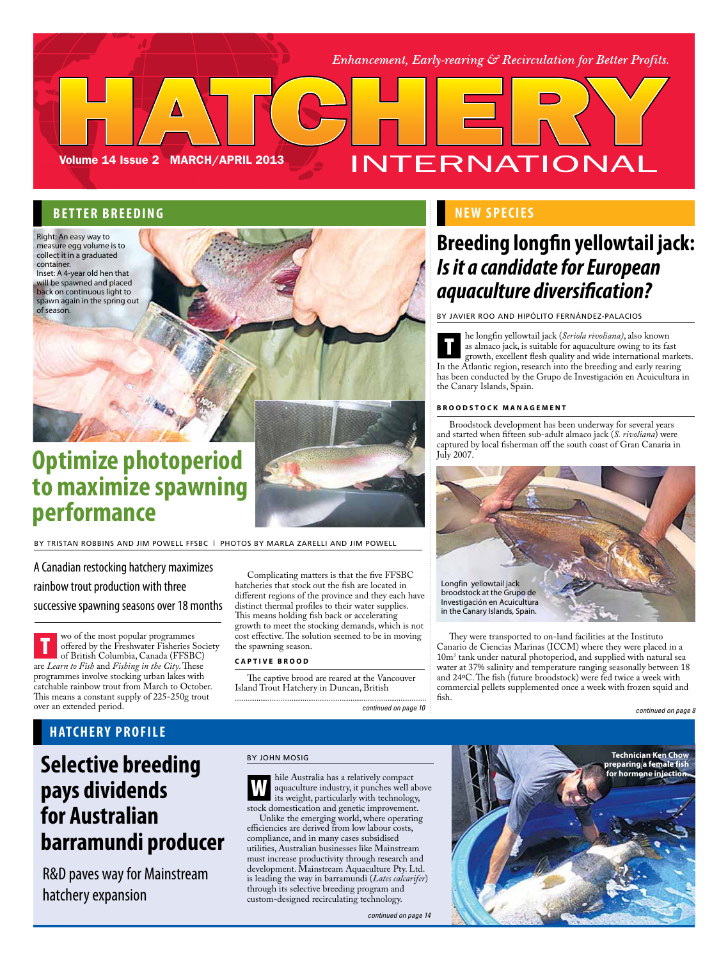Enhancement, Early-rearing  $\mathcal{S}$  Recirculation for Better Profits.

### **BETTER BREEDING**

Volume 14 Issue 2 MARCH/APRIL 2013

Right: An easy way to measure egg volume is to collect it in a graduated container.

Inset: A 4-year old hen that will be spawned and placed back on continuous light to spawn again in the spring out of season.

# **Optimize photoperiod to maximize spawning performance**

By Tristan Robbins and Jim Powell FFSBC | Photos by Marla Zarelli and Jim Powell

A Canadian restocking hatchery maximizes rainbow trout production with three successive spawning seasons over 18 months

wo of the most popular programmes offered by the Freshwater Fisheries Society of British Columbia, Canada (FFSBC) are *Learn to Fish* and *Fishing in the City*. These programmes involve stocking urban lakes with catchable rainbow trout from March to October. This means a constant supply of 225-250g trout over an extended period. T

Complicating matters is that the five FFSBC hatcheries that stock out the fish are located in different regions of the province and they each have distinct thermal profiles to their water supplies. This means holding fish back or accelerating growth to meet the stocking demands, which is not cost effective. The solution seemed to be in moving the spawning season.

### **C a p t i v e b r o o d**

The captive brood are reared at the Vancouver Island Trout Hatchery in Duncan, British

*continued on page 10 continued on page 8*

### **new s pecies**

INTERNATIONAL

## **Breeding longfin yellowtail jack:**  *Is it a candidate for European aquaculture diversification?*

By Javier Roo and Hipólito Fernández-Palacios

he longfin yellowtail jack (*Seriola rivoliana)*, also known as almaco jack, is suitable for aquaculture owing to its fast growth, excellent flesh quality and wide international markets. In the Atlantic region, research into the breeding and early rearing has been conducted by the Grupo de Investigación en Acuicultura in the Canary Islands, Spain. **T** 

#### **B r o o d s t o c k m a n a g e m e n t**

Broodstock development has been underway for several years and started when fifteen sub-adult almaco jack (*S. rivoliana*) were captured by local fisherman off the south coast of Gran Canaria in July 2007.



They were transported to on-land facilities at the Instituto Canario de Ciencias Marinas (ICCM) where they were placed in a 10m3 tank under natural photoperiod, and supplied with natural sea water at 37% salinity and temperature ranging seasonally between 18 and 24ºC. The fish (future broodstock) were fed twice a week with commercial pellets supplemented once a week with frozen squid and fish.

### **HATCHERY PROFILE**

# **Selective breeding pays dividends for Australian barramundi producer**

R&D paves way for Mainstream hatchery expansion

### By John Mosig

W hile Australia has a relatively compact aquaculture industry, it punches well above its weight, particularly with technology, stock domestication and genetic improvement.

Unlike the emerging world, where operating efficiencies are derived from low labour costs, compliance, and in many cases subsidised utilities, Australian businesses like Mainstream must increase productivity through research and development. Mainstream Aquaculture Pty. Ltd. is leading the way in barramundi (*Lates calcarifer*) through its selective breeding program and custom-designed recirculating technology.

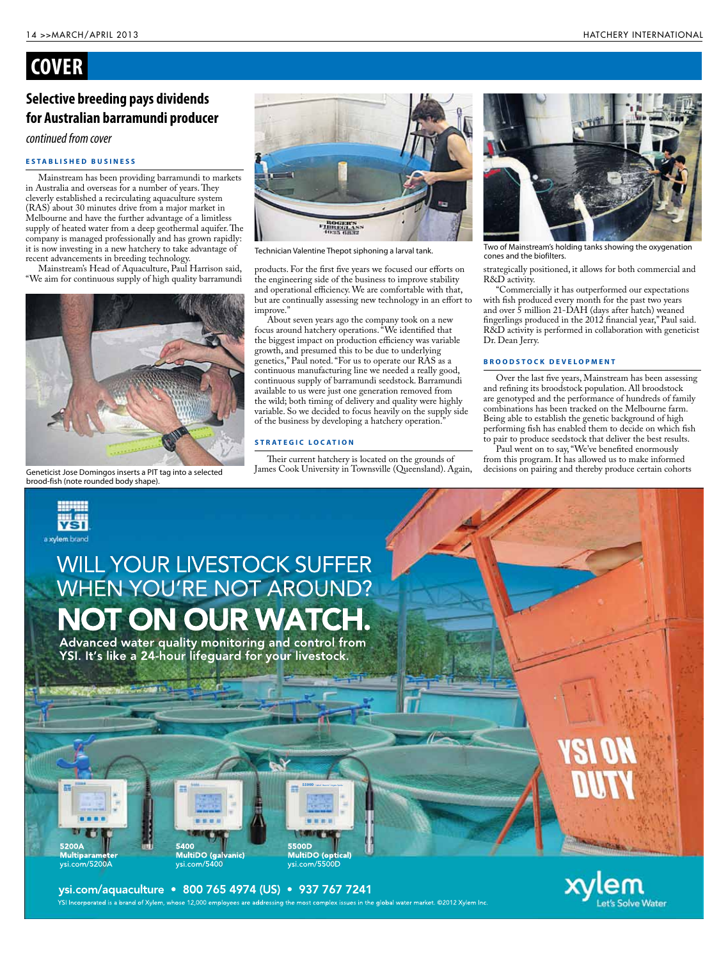### **COVER**

### **Selective breeding pays dividends for Australian barramundi producer**

*continued from cover*

### **E s t a b l i s h e d b u s i n e s s**

Mainstream has been providing barramundi to markets in Australia and overseas for a number of years. They cleverly established a recirculating aquaculture system (RAS) about 30 minutes drive from a major market in Melbourne and have the further advantage of a limitless supply of heated water from a deep geothermal aquifer. The company is managed professionally and has grown rapidly: it is now investing in a new hatchery to take advantage of recent advancements in breeding technology.

Mainstream's Head of Aquaculture, Paul Harrison said, "We aim for continuous supply of high quality barramundi



Geneticist Jose Domingos inserts a PIT tag into a selected brood-fish (note rounded body shape).

52004



Technician Valentine Thepot siphoning a larval tank.<br>cones and the biofilters.

products. For the first five years we focused our efforts on the engineering side of the business to improve stability and operational efficiency. We are comfortable with that, but are continually assessing new technology in an effort to improve."

About seven years ago the company took on a new focus around hatchery operations. "We identified that the biggest impact on production efficiency was variable growth, and presumed this to be due to underlying genetics," Paul noted. "For us to operate our RAS as a continuous manufacturing line we needed a really good, continuous supply of barramundi seedstock. Barramundi available to us were just one generation removed from the wild; both timing of delivery and quality were highly variable. So we decided to focus heavily on the supply side of the business by developing a hatchery operation.

### **STRATEGIC LOCATION**

Their current hatchery is located on the grounds of James Cook University in Townsville (Queensland). Again,



Two of Mainstream's holding tanks showing the oxygenation

strategically positioned, it allows for both commercial and R&D activity.

"Commercially it has outperformed our expectations with fish produced every month for the past two years and over 5 million 21-DAH (days after hatch) weaned fingerlings produced in the 2012 financial year," Paul said. R&D activity is performed in collaboration with geneticist Dr. Dean Jerry.

#### **BROODSTOCK DEVELOPMENT**

Over the last five years, Mainstream has been assessing and refining its broodstock population. All broodstock are genotyped and the performance of hundreds of family combinations has been tracked on the Melbourne farm. Being able to establish the genetic background of high performing fish has enabled them to decide on which fish to pair to produce seedstock that deliver the best results.

Paul went on to say, "We've benefited enormously from this program. It has allowed us to make informed decisions on pairing and thereby produce certain cohorts



ysi.com/aquaculture · 800 765 4974 (US) · 937 767 7241 .<br>YSI Incorporated is a brand of Xylem, whose 12,000 employees are addressing the most complex issues in the global water market. ©2012 Xylem Inc. e Water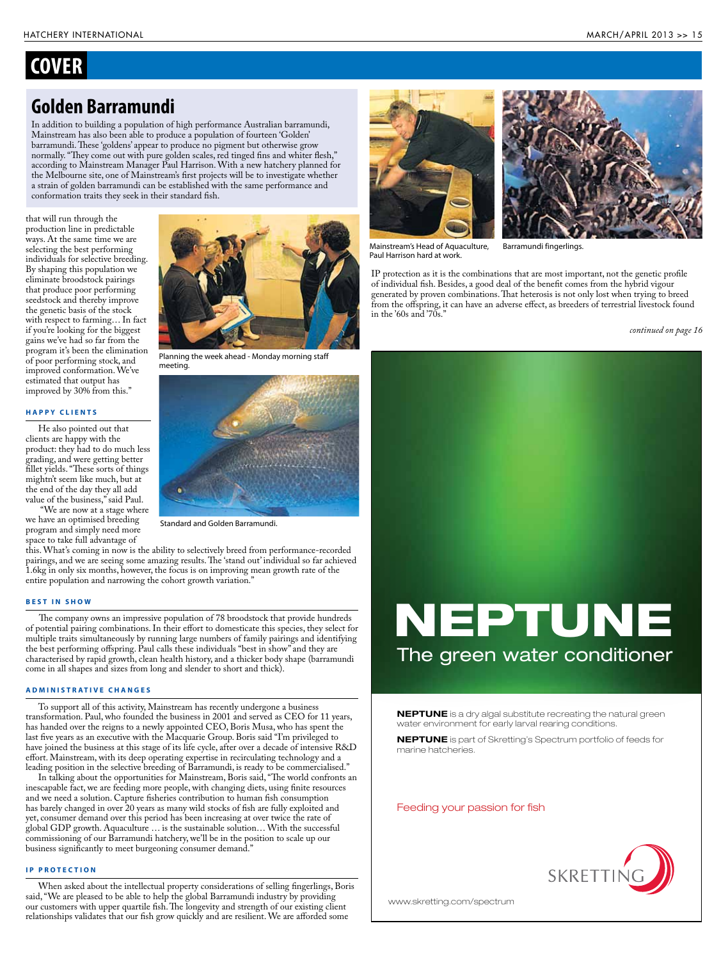### **COVER**

### **Golden Barramundi**

In addition to building a population of high performance Australian barramundi, Mainstream has also been able to produce a population of fourteen 'Golden' barramundi. These 'goldens' appear to produce no pigment but otherwise grow normally. "They come out with pure golden scales, red tinged fins and whiter flesh," according to Mainstream Manager Paul Harrison. With a new hatchery planned for the Melbourne site, one of Mainstream's first projects will be to investigate whether a strain of golden barramundi can be established with the same performance and conformation traits they seek in their standard fish.

that will run through the production line in predictable ways. At the same time we are selecting the best performing individuals for selective breeding. By shaping this population we eliminate broodstock pairings that produce poor performing seedstock and thereby improve the genetic basis of the stock with respect to farming… In fact if you're looking for the biggest gains we've had so far from the program it's been the elimination of poor performing stock, and improved conformation. We've estimated that output has improved by 30% from this."

#### **H a p p y c l i e n t s**

He also pointed out that clients are happy with the product: they had to do much less grading, and were getting better fillet yields. "These sorts of things mightn't seem like much, but at the end of the day they all add value of the business," said Paul.

 "We are now at a stage where we have an optimised breeding program and simply need more space to take full advantage of



Planning the week ahead - Monday morning staff meeting.



Standard and Golden Barramundi.

this. What's coming in now is the ability to selectively breed from performance-recorded pairings, and we are seeing some amazing results. The 'stand out' individual so far achieved 1.6kg in only six months, however, the focus is on improving mean growth rate of the entire population and narrowing the cohort growth variation.'

#### **B e s t i n s h o w**

The company owns an impressive population of 78 broodstock that provide hundreds of potential pairing combinations. In their effort to domesticate this species, they select for multiple traits simultaneously by running large numbers of family pairings and identifying the best performing offspring. Paul calls these individuals "best in show" and they are characterised by rapid growth, clean health history, and a thicker body shape (barramundi come in all shapes and sizes from long and slender to short and thick).

#### **A d m i n i s t r a t i v e c h a n g e s**

To support all of this activity, Mainstream has recently undergone a business transformation. Paul, who founded the business in 2001 and served as CEO for 11 years, has handed over the reigns to a newly appointed CEO, Boris Musa, who has spent the last five years as an executive with the Macquarie Group. Boris said "I'm privileged to have joined the business at this stage of its life cycle, after over a decade of intensive R&D effort. Mainstream, with its deep operating expertise in recirculating technology and a leading position in the selective breeding of Barramundi, is ready to be commercialised."

In talking about the opportunities for Mainstream, Boris said, "The world confronts an inescapable fact, we are feeding more people, with changing diets, using finite resources and we need a solution. Capture fisheries contribution to human fish consumption has barely changed in over 20 years as many wild stocks of fish are fully exploited and yet, consumer demand over this period has been increasing at over twice the rate of global GDP growth. Aquaculture … is the sustainable solution… With the successful commissioning of our Barramundi hatchery, we'll be in the position to scale up our business significantly to meet burgeoning consumer demand."

#### **IP PROTECTION**

When asked about the intellectual property considerations of selling fingerlings, Boris said, "We are pleased to be able to help the global Barramundi industry by providing our customers with upper quartile fish. The longevity and strength of our existing client relationships validates that our fish grow quickly and are resilient. We are afforded some





Mainstream's Head of Aquaculture, Paul Harrison hard at work.

Barramundi fingerlings.

IP protection as it is the combinations that are most important, not the genetic profile of individual fish. Besides, a good deal of the benefit comes from the hybrid vigour generated by proven combinations. That heterosis is not only lost when trying to breed from the offspring, it can have an adverse effect, as breeders of terrestrial livestock found in the '60s and '70s."

*continued on page 16*

# NEPTUNE The green water conditioner

**NEPTUNE** is a dry algal substitute recreating the natural green water environment for early larval rearing conditions.

NEPTUNE is part of Skretting's Spectrum portfolio of feeds for marine hatcheries.

Feeding your passion for fish



www.skretting.com/spectrum